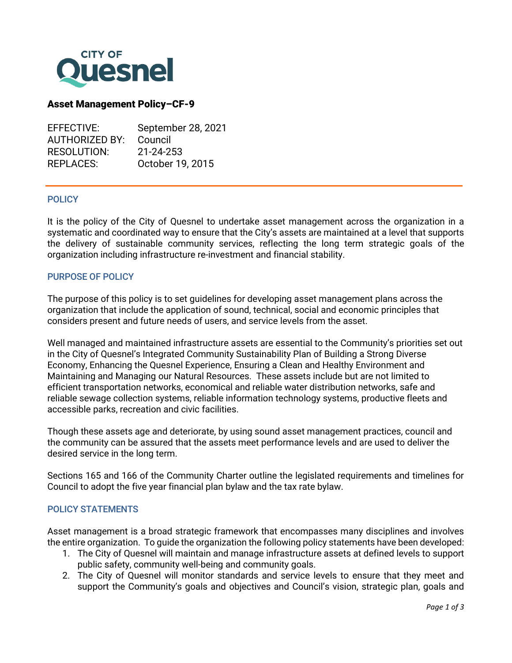

### Asset Management Policy–CF-9

| EFFECTIVE:            | September 28, 2021 |
|-----------------------|--------------------|
| <b>AUTHORIZED BY:</b> | Council            |
| <b>RESOLUTION:</b>    | 21-24-253          |
| REPLACES:             | October 19, 2015   |
|                       |                    |

#### **POLICY**

j

It is the policy of the City of Quesnel to undertake asset management across the organization in a systematic and coordinated way to ensure that the City's assets are maintained at a level that supports the delivery of sustainable community services, reflecting the long term strategic goals of the organization including infrastructure re-investment and financial stability.

### PURPOSE OF POLICY

The purpose of this policy is to set guidelines for developing asset management plans across the organization that include the application of sound, technical, social and economic principles that considers present and future needs of users, and service levels from the asset.

Well managed and maintained infrastructure assets are essential to the Community's priorities set out in the City of Quesnel's Integrated Community Sustainability Plan of Building a Strong Diverse Economy, Enhancing the Quesnel Experience, Ensuring a Clean and Healthy Environment and Maintaining and Managing our Natural Resources. These assets include but are not limited to efficient transportation networks, economical and reliable water distribution networks, safe and reliable sewage collection systems, reliable information technology systems, productive fleets and accessible parks, recreation and civic facilities.

Though these assets age and deteriorate, by using sound asset management practices, council and the community can be assured that the assets meet performance levels and are used to deliver the desired service in the long term.

Sections 165 and 166 of the Community Charter outline the legislated requirements and timelines for Council to adopt the five year financial plan bylaw and the tax rate bylaw.

### POLICY STATEMENTS

Asset management is a broad strategic framework that encompasses many disciplines and involves the entire organization. To guide the organization the following policy statements have been developed:

- 1. The City of Quesnel will maintain and manage infrastructure assets at defined levels to support public safety, community well-being and community goals.
- 2. The City of Quesnel will monitor standards and service levels to ensure that they meet and support the Community's goals and objectives and Council's vision, strategic plan, goals and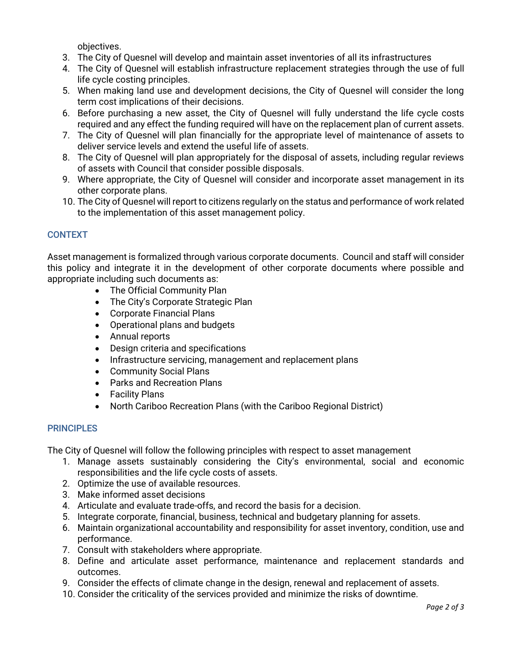objectives.

- 3. The City of Quesnel will develop and maintain asset inventories of all its infrastructures
- 4. The City of Quesnel will establish infrastructure replacement strategies through the use of full life cycle costing principles.
- 5. When making land use and development decisions, the City of Quesnel will consider the long term cost implications of their decisions.
- 6. Before purchasing a new asset, the City of Quesnel will fully understand the life cycle costs required and any effect the funding required will have on the replacement plan of current assets.
- 7. The City of Quesnel will plan financially for the appropriate level of maintenance of assets to deliver service levels and extend the useful life of assets.
- 8. The City of Quesnel will plan appropriately for the disposal of assets, including regular reviews of assets with Council that consider possible disposals.
- 9. Where appropriate, the City of Quesnel will consider and incorporate asset management in its other corporate plans.
- 10. The City of Quesnel will report to citizens regularly on the status and performance of work related to the implementation of this asset management policy.

# **CONTEXT**

Asset management is formalized through various corporate documents. Council and staff will consider this policy and integrate it in the development of other corporate documents where possible and appropriate including such documents as:

- The Official Community Plan
- The City's Corporate Strategic Plan
- Corporate Financial Plans
- Operational plans and budgets
- Annual reports
- Design criteria and specifications
- Infrastructure servicing, management and replacement plans
- Community Social Plans
- Parks and Recreation Plans
- Facility Plans
- North Cariboo Recreation Plans (with the Cariboo Regional District)

## **PRINCIPLES**

The City of Quesnel will follow the following principles with respect to asset management

- 1. Manage assets sustainably considering the City's environmental, social and economic responsibilities and the life cycle costs of assets.
- 2. Optimize the use of available resources.
- 3. Make informed asset decisions
- 4. Articulate and evaluate trade-offs, and record the basis for a decision.
- 5. Integrate corporate, financial, business, technical and budgetary planning for assets.
- 6. Maintain organizational accountability and responsibility for asset inventory, condition, use and performance.
- 7. Consult with stakeholders where appropriate.
- 8. Define and articulate asset performance, maintenance and replacement standards and outcomes.
- 9. Consider the effects of climate change in the design, renewal and replacement of assets.
- 10. Consider the criticality of the services provided and minimize the risks of downtime.